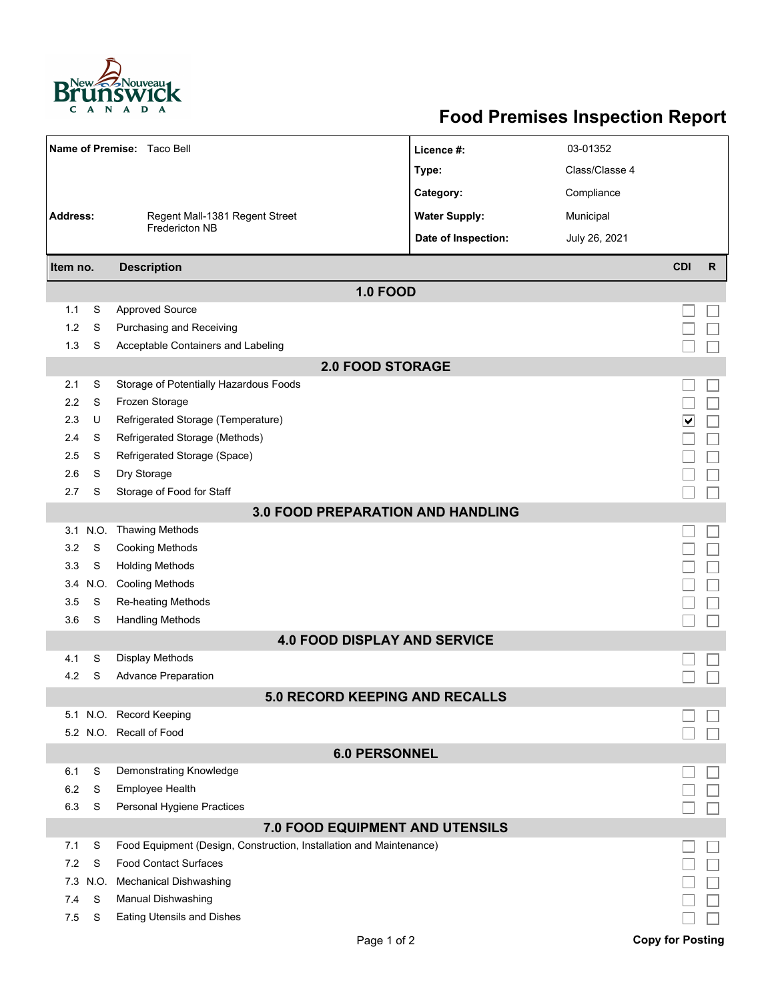

## **Food Premises Inspection Report**

|                                          |          | Name of Premise: Taco Bell                                          | Licence #:           | 03-01352       |                         |              |  |  |  |
|------------------------------------------|----------|---------------------------------------------------------------------|----------------------|----------------|-------------------------|--------------|--|--|--|
|                                          |          |                                                                     | Type:                | Class/Classe 4 |                         |              |  |  |  |
|                                          |          |                                                                     | Category:            | Compliance     |                         |              |  |  |  |
| <b>Address:</b>                          |          | Regent Mall-1381 Regent Street<br><b>Fredericton NB</b>             | <b>Water Supply:</b> | Municipal      |                         |              |  |  |  |
|                                          |          |                                                                     | Date of Inspection:  | July 26, 2021  |                         |              |  |  |  |
|                                          |          |                                                                     |                      |                |                         |              |  |  |  |
| Item no.                                 |          | <b>Description</b>                                                  |                      |                | <b>CDI</b>              | $\mathsf{R}$ |  |  |  |
|                                          |          |                                                                     | <b>1.0 FOOD</b>      |                |                         |              |  |  |  |
| 1.1                                      | S        | <b>Approved Source</b>                                              |                      |                |                         |              |  |  |  |
| 1.2                                      | S        | Purchasing and Receiving                                            |                      |                |                         |              |  |  |  |
| 1.3                                      | S        | Acceptable Containers and Labeling                                  |                      |                |                         |              |  |  |  |
| <b>2.0 FOOD STORAGE</b>                  |          |                                                                     |                      |                |                         |              |  |  |  |
| 2.1                                      | S        | Storage of Potentially Hazardous Foods                              |                      |                |                         |              |  |  |  |
| 2.2                                      | S        | Frozen Storage                                                      |                      |                |                         |              |  |  |  |
| 2.3                                      | U        | Refrigerated Storage (Temperature)                                  |                      |                | ∣∨                      |              |  |  |  |
| 2.4                                      | S        | Refrigerated Storage (Methods)                                      |                      |                |                         |              |  |  |  |
| 2.5                                      | S        | Refrigerated Storage (Space)                                        |                      |                |                         |              |  |  |  |
| 2.6                                      | S        | Dry Storage                                                         |                      |                |                         |              |  |  |  |
| 2.7                                      | S        | Storage of Food for Staff                                           |                      |                |                         |              |  |  |  |
| <b>3.0 FOOD PREPARATION AND HANDLING</b> |          |                                                                     |                      |                |                         |              |  |  |  |
|                                          | 3.1 N.O. | <b>Thawing Methods</b>                                              |                      |                |                         |              |  |  |  |
| 3.2                                      | S        | <b>Cooking Methods</b>                                              |                      |                |                         |              |  |  |  |
| 3.3                                      | S        | <b>Holding Methods</b>                                              |                      |                |                         |              |  |  |  |
| 3.4                                      | N.O.     | <b>Cooling Methods</b>                                              |                      |                |                         |              |  |  |  |
| 3.5                                      | S        | Re-heating Methods                                                  |                      |                |                         |              |  |  |  |
| 3.6                                      | S        | <b>Handling Methods</b>                                             |                      |                |                         |              |  |  |  |
| <b>4.0 FOOD DISPLAY AND SERVICE</b>      |          |                                                                     |                      |                |                         |              |  |  |  |
| 4.1                                      | S        | Display Methods                                                     |                      |                |                         |              |  |  |  |
| 4.2                                      | S        | <b>Advance Preparation</b>                                          |                      |                |                         |              |  |  |  |
| <b>5.0 RECORD KEEPING AND RECALLS</b>    |          |                                                                     |                      |                |                         |              |  |  |  |
|                                          |          | 5.1 N.O. Record Keeping                                             |                      |                |                         |              |  |  |  |
|                                          |          | 5.2 N.O. Recall of Food                                             |                      |                |                         |              |  |  |  |
| <b>6.0 PERSONNEL</b>                     |          |                                                                     |                      |                |                         |              |  |  |  |
| 6.1                                      | S        | Demonstrating Knowledge                                             |                      |                |                         |              |  |  |  |
| 6.2                                      | S        | <b>Employee Health</b>                                              |                      |                |                         |              |  |  |  |
| 6.3                                      | S        | Personal Hygiene Practices                                          |                      |                |                         |              |  |  |  |
| 7.0 FOOD EQUIPMENT AND UTENSILS          |          |                                                                     |                      |                |                         |              |  |  |  |
| 7.1                                      | S        | Food Equipment (Design, Construction, Installation and Maintenance) |                      |                |                         |              |  |  |  |
| 7.2                                      | S        | <b>Food Contact Surfaces</b>                                        |                      |                |                         |              |  |  |  |
| 7.3                                      | N.O.     | <b>Mechanical Dishwashing</b>                                       |                      |                |                         |              |  |  |  |
| 7.4                                      | S        | Manual Dishwashing                                                  |                      |                |                         |              |  |  |  |
| 7.5                                      | S        | Eating Utensils and Dishes                                          |                      |                |                         |              |  |  |  |
|                                          |          |                                                                     | Page 1 of 2          |                | <b>Copy for Posting</b> |              |  |  |  |